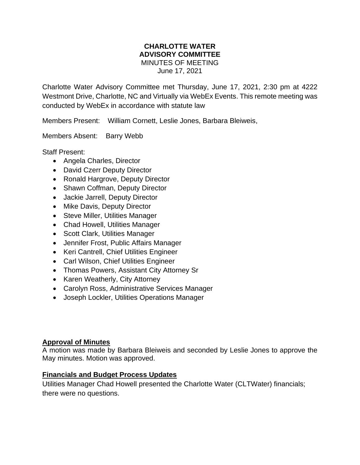#### **CHARLOTTE WATER ADVISORY COMMITTEE** MINUTES OF MEETING June 17, 2021

Charlotte Water Advisory Committee met Thursday, June 17, 2021, 2:30 pm at 4222 Westmont Drive, Charlotte, NC and Virtually via WebEx Events. This remote meeting was conducted by WebEx in accordance with statute law

Members Present: William Cornett, Leslie Jones, Barbara Bleiweis,

Members Absent: Barry Webb

Staff Present:

- Angela Charles, Director
- David Czerr Deputy Director
- Ronald Hargrove, Deputy Director
- Shawn Coffman, Deputy Director
- Jackie Jarrell, Deputy Director
- Mike Davis, Deputy Director
- Steve Miller, Utilities Manager
- Chad Howell, Utilities Manager
- Scott Clark, Utilities Manager
- Jennifer Frost, Public Affairs Manager
- Keri Cantrell, Chief Utilities Engineer
- Carl Wilson, Chief Utilities Engineer
- Thomas Powers, Assistant City Attorney Sr
- Karen Weatherly, City Attorney
- Carolyn Ross, Administrative Services Manager
- Joseph Lockler, Utilities Operations Manager

#### **Approval of Minutes**

A motion was made by Barbara Bleiweis and seconded by Leslie Jones to approve the May minutes. Motion was approved.

#### **Financials and Budget Process Updates**

Utilities Manager Chad Howell presented the Charlotte Water (CLTWater) financials; there were no questions.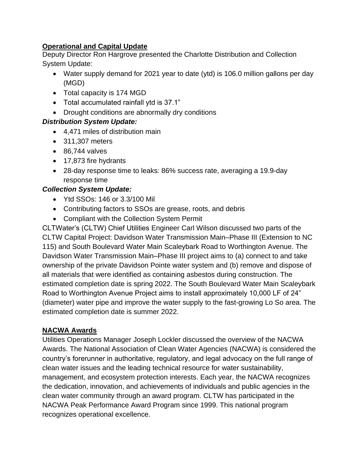### **Operational and Capital Update**

Deputy Director Ron Hargrove presented the Charlotte Distribution and Collection System Update:

- Water supply demand for 2021 year to date (ytd) is 106.0 million gallons per day (MGD)
- Total capacity is 174 MGD
- Total accumulated rainfall ytd is 37.1"
- Drought conditions are abnormally dry conditions

### *Distribution System Update:*

- 4,471 miles of distribution main
- 311,307 meters
- 86,744 valves
- 17,873 fire hydrants
- 28-day response time to leaks: 86% success rate, averaging a 19.9-day response time

### *Collection System Update:*

- Ytd SSOs: 146 or 3.3/100 Mil
- Contributing factors to SSOs are grease, roots, and debris
- Compliant with the Collection System Permit

CLTWater's (CLTW) Chief Utilities Engineer Carl Wilson discussed two parts of the CLTW Capital Project: Davidson Water Transmission Main–Phase III (Extension to NC 115) and South Boulevard Water Main Scaleybark Road to Worthington Avenue. The Davidson Water Transmission Main–Phase III project aims to (a) connect to and take ownership of the private Davidson Pointe water system and (b) remove and dispose of all materials that were identified as containing asbestos during construction. The estimated completion date is spring 2022. The South Boulevard Water Main Scaleybark Road to Worthington Avenue Project aims to install approximately 10,000 LF of 24" (diameter) water pipe and improve the water supply to the fast-growing Lo So area. The estimated completion date is summer 2022.

#### **NACWA Awards**

Utilities Operations Manager Joseph Lockler discussed the overview of the NACWA Awards. The National Association of Clean Water Agencies (NACWA) is considered the country's forerunner in authoritative, regulatory, and legal advocacy on the full range of clean water issues and the leading technical resource for water sustainability, management, and ecosystem protection interests. Each year, the NACWA recognizes the dedication, innovation, and achievements of individuals and public agencies in the clean water community through an award program. CLTW has participated in the NACWA Peak Performance Award Program since 1999. This national program recognizes operational excellence.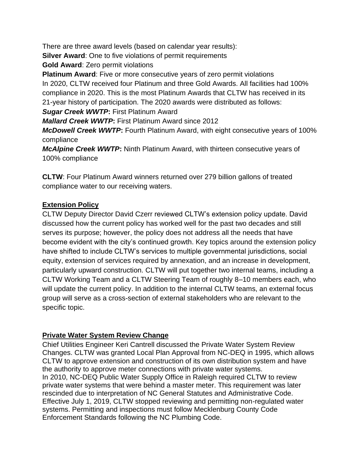There are three award levels (based on calendar year results):

**Silver Award:** One to five violations of permit requirements

**Gold Award**: Zero permit violations

**Platinum Award**: Five or more consecutive years of zero permit violations In 2020, CLTW received four Platinum and three Gold Awards. All facilities had 100% compliance in 2020. This is the most Platinum Awards that CLTW has received in its 21-year history of participation. The 2020 awards were distributed as follows:

*Sugar Creek WWTP***:** First Platinum Award

*Mallard Creek WWTP***:** First Platinum Award since 2012

*McDowell Creek WWTP***:** Fourth Platinum Award, with eight consecutive years of 100% compliance

*McAlpine Creek WWTP***:** Ninth Platinum Award, with thirteen consecutive years of 100% compliance

**CLTW**: Four Platinum Award winners returned over 279 billion gallons of treated compliance water to our receiving waters.

# **Extension Policy**

CLTW Deputy Director David Czerr reviewed CLTW's extension policy update. David discussed how the current policy has worked well for the past two decades and still serves its purpose; however, the policy does not address all the needs that have become evident with the city's continued growth. Key topics around the extension policy have shifted to include CLTW's services to multiple governmental jurisdictions, social equity, extension of services required by annexation, and an increase in development, particularly upward construction. CLTW will put together two internal teams, including a CLTW Working Team and a CLTW Steering Team of roughly 8–10 members each, who will update the current policy. In addition to the internal CLTW teams, an external focus group will serve as a cross-section of external stakeholders who are relevant to the specific topic.

## **Private Water System Review Change**

Chief Utilities Engineer Keri Cantrell discussed the Private Water System Review Changes. CLTW was granted Local Plan Approval from NC-DEQ in 1995, which allows CLTW to approve extension and construction of its own distribution system and have the authority to approve meter connections with private water systems. In 2010, NC-DEQ Public Water Supply Office in Raleigh required CLTW to review private water systems that were behind a master meter. This requirement was later rescinded due to interpretation of NC General Statutes and Administrative Code. Effective July 1, 2019, CLTW stopped reviewing and permitting non-regulated water systems. Permitting and inspections must follow Mecklenburg County Code Enforcement Standards following the NC Plumbing Code.